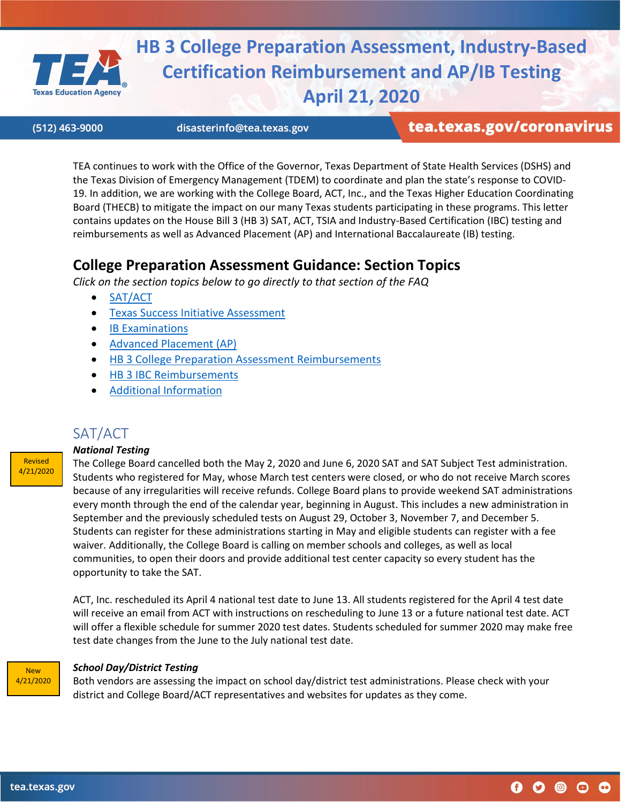<span id="page-0-0"></span>

**HB 3 College Preparation Assessment, Industry-Based Certification Reimbursement and AP/IB Testing April 21, 2020**

(512) 463-9000

disasterinfo@tea.texas.gov

# tea.texas.gov/coronavirus

TEA continues to work with the Office of the Governor, Texas Department of State Health Services (DSHS) and the Texas Division of Emergency Management (TDEM) to coordinate and plan the state's response to COVID-19. In addition, we are working with the College Board, ACT, Inc., and the Texas Higher Education Coordinating Board (THECB) to mitigate the impact on our many Texas students participating in these programs. This letter contains updates on the House Bill 3 (HB 3) SAT, ACT, TSIA and Industry-Based Certification (IBC) testing and reimbursements as well as Advanced Placement (AP) and International Baccalaureate (IB) testing.

# **College Preparation Assessment Guidance: Section Topics**

*Click on the section topics below to go directly to that section of the FAQ*

- [SAT/ACT](#page-0-0)
- [Texas Success Initiative Assessment](#page-1-0)
- [IB Examinations](#page-1-1)
- [Advanced Placement \(AP\)](#page-2-0)
- [HB 3 College Preparation Assessment Reimbursements](#page-2-1)
- [HB 3 IBC Reimbursements](#page-3-0)
- [Additional Information](#page-3-1)



## SAT/ACT

### *National Testing*

The College Board cancelled both the May 2, 2020 and June 6, 2020 SAT and SAT Subject Test administration. Students who registered for May, whose March test centers were closed, or who do not receive March scores because of any irregularities will receive refunds. College Board plans to provide weekend SAT administrations every month through the end of the calendar year, beginning in August. This includes a new administration in September and the previously scheduled tests on August 29, October 3, November 7, and December 5. Students can register for these administrations starting in May and eligible students can register with a fee waiver. Additionally, the College Board is calling on member schools and colleges, as well as local communities, to open their doors and provide additional test center capacity so every student has the opportunity to take the SAT.

ACT, Inc. rescheduled its April 4 national test date to June 13. All students registered for the April 4 test date will receive an email from ACT with instructions on rescheduling to June 13 or a future national test date. ACT will offer a flexible schedule for summer 2020 test dates. Students scheduled for summer 2020 may make free test date changes from the June to the July national test date.



#### *School Day/District Testing*

Both vendors are assessing the impact on school day/district test administrations. Please check with your district and College Board/ACT representatives and websites for updates as they come.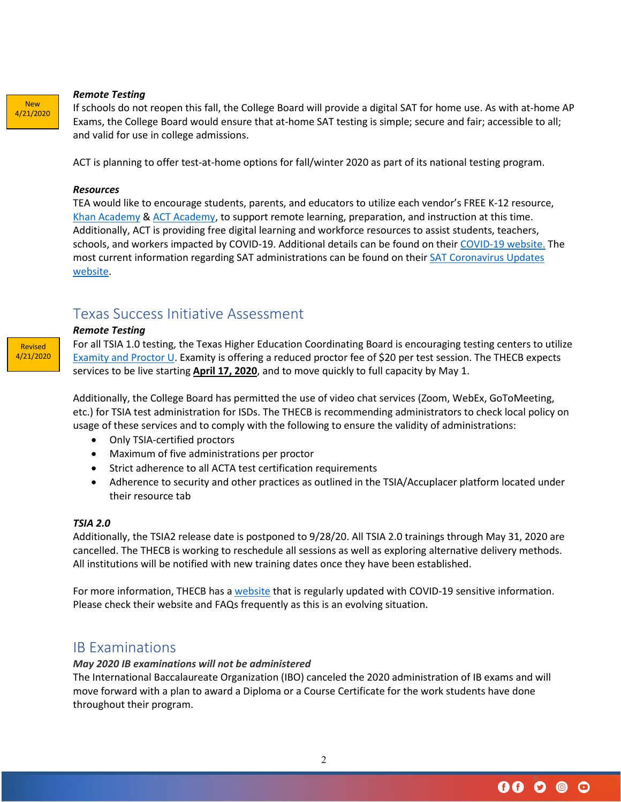#### *Remote Testing*

If schools do not reopen this fall, the College Board will provide a digital SAT for home use. As with at-home AP Exams, the College Board would ensure that at-home SAT testing is simple; secure and fair; accessible to all; and valid for use in college admissions.

ACT is planning to offer test-at-home options for fall/winter 2020 as part of its national testing program.

#### *Resources*

TEA would like to encourage students, parents, and educators to utilize each vendor's FREE K-12 resource, [Khan Academy](https://www.khanacademy.org/) & [ACT Academy,](https://academy.act.org/) to support remote learning, preparation, and instruction at this time. Additionally, ACT is providing free digital learning and workforce resources to assist students, teachers, schools, and workers impacted by COVID-19. Additional details can be found on their [COVID-19 website.](https://www.act.org/content/act/en/covid19.html) The most current information regarding SAT administrations can be found on their [SAT Coronavirus Updates](https://pages.collegeboard.org/natural-disasters)  [website.](https://pages.collegeboard.org/natural-disasters)

## <span id="page-1-0"></span>Texas Success Initiative Assessment

#### *Remote Testing*

Revised 4/21/2020

New 4/21/2020

> For all TSIA 1.0 testing, the Texas Higher Education Coordinating Board is encouraging testing centers to utilize [Examity](https://examity.com/accuplacer/) and [Proctor U.](https://www.proctoru.com/proctoru-live-resource-center) Examity is offering a reduced proctor fee of \$20 per test session. The THECB expects services to be live starting **April 17, 2020**, and to move quickly to full capacity by May 1.

> Additionally, the College Board has permitted the use of video chat services (Zoom, WebEx, GoToMeeting, etc.) for TSIA test administration for ISDs. The THECB is recommending administrators to check local policy on usage of these services and to comply with the following to ensure the validity of administrations:

- Only TSIA-certified proctors
- Maximum of five administrations per proctor
- Strict adherence to all ACTA test certification requirements
- Adherence to security and other practices as outlined in the TSIA/Accuplacer platform located under their resource tab

#### *TSIA 2.0*

Additionally, the TSIA2 release date is postponed to 9/28/20. All TSIA 2.0 trainings through May 31, 2020 are cancelled. The THECB is working to reschedule all sessions as well as exploring alternative delivery methods. All institutions will be notified with new training dates once they have been established.

For more information, THECB has [a website](http://www.thecb.state.tx.us/misc/coronavirus-update-for-higher-education/) that is regularly updated with COVID-19 sensitive information. Please check their website and FAQs frequently as this is an evolving situation.

## <span id="page-1-1"></span>IB Examinations

#### *May 2020 IB examinations will not be administered*

The International Baccalaureate Organization (IBO) canceled the 2020 administration of IB exams and will move forward with a plan to award a Diploma or a Course Certificate for the work students have done throughout their program.

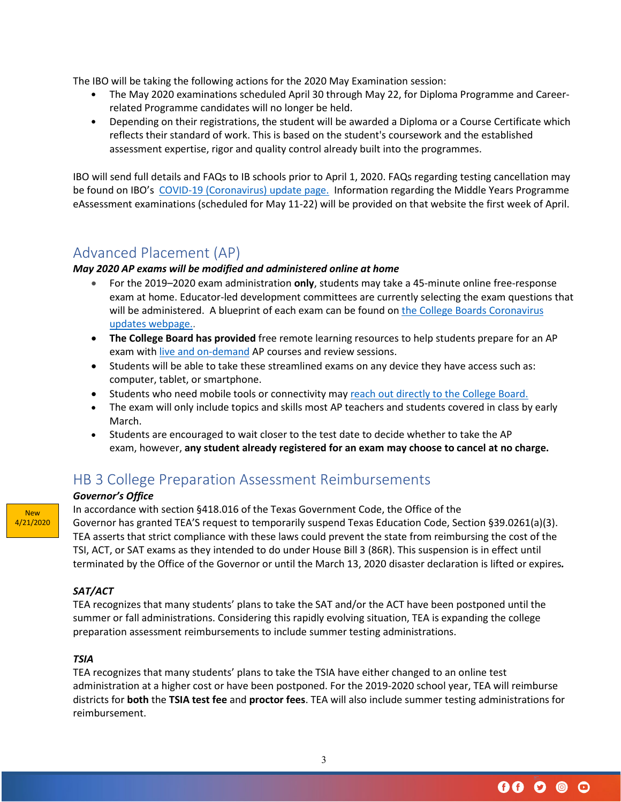The IBO will be taking the following actions for the 2020 May Examination session:

- The May 2020 examinations scheduled April 30 through May 22, for Diploma Programme and Careerrelated Programme candidates will no longer be held.
- Depending on their registrations, the student will be awarded a Diploma or a Course Certificate which reflects their standard of work. This is based on the student's coursework and the established assessment expertise, rigor and quality control already built into the programmes.

IBO will send full details and FAQs to IB schools prior to April 1, 2020. FAQs regarding testing cancellation may be found on IBO's [COVID-19 \(Coronavirus\) update page.](https://www.ibo.org/news/news-about-the-ib/covid-19-coronavirus-updates/#examinations) Information regarding the Middle Years Programme eAssessment examinations (scheduled for May 11-22) will be provided on that website the first week of April.

# <span id="page-2-0"></span>Advanced Placement (AP)

## *May 2020 AP exams will be modified and administered online at home*

- For the 2019–2020 exam administration **only**, students may take a 45-minute online free-response exam at home. Educator-led development committees are currently selecting the exam questions that will be administered. A blueprint of each exam can be found on the College Boards Coronavirus [updates webpage..](https://apcentral.collegeboard.org/about-ap/news-changes/coronavirus-update)
- **The College Board has provided** free remote learning resources to help students prepare for an AP exam with [live and on-demand](https://apstudents.collegeboard.org/coronavirus-updates#free-ap-classes) AP courses and review sessions.
- Students will be able to take these streamlined exams on any device they have access such as: computer, tablet, or smartphone.
- Students who need mobile tools or connectivity may [reach out directly to the College Board.](https://collegeboard.tfaforms.net/74)
- The exam will only include topics and skills most AP teachers and students covered in class by early March.
- Students are encouraged to wait closer to the test date to decide whether to take the AP exam, however, **any student already registered for an exam may choose to cancel at no charge.**

# <span id="page-2-1"></span>HB 3 College Preparation Assessment Reimbursements

### *Governor's Office*

In accordance with section §418.016 of the Texas Government Code, the Office of the Governor has granted TEA'S request to temporarily suspend Texas Education Code, Section §39.0261(a)(3). TEA asserts that strict compliance with these laws could prevent the state from reimbursing the cost of the TSI, ACT, or SAT exams as they intended to do under House Bill 3 (86R). This suspension is in effect until terminated by the Office of the Governor or until the March 13, 2020 disaster declaration is lifted or expires*.*

## *SAT/ACT*

New 4/21/2020

> TEA recognizes that many students' plans to take the SAT and/or the ACT have been postponed until the summer or fall administrations. Considering this rapidly evolving situation, TEA is expanding the college preparation assessment reimbursements to include summer testing administrations.

## *TSIA*

TEA recognizes that many students' plans to take the TSIA have either changed to an online test administration at a higher cost or have been postponed. For the 2019-2020 school year, TEA will reimburse districts for **both** the **TSIA test fee** and **proctor fees**. TEA will also include summer testing administrations for reimbursement.